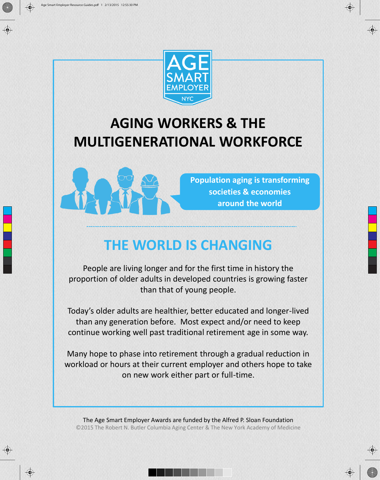



#### **AGING WORKERS & THE MULTIGENERATIONAL WORKFORCE**



**Population aging is transforming societies & economies around the world** 

#### **THE WORLD IS CHANGING**

People are living longer and for the first time in history the proportion of older adults in developed countries is growing faster than that of young people.

Today's older adults are healthier, better educated and longer-lived than any generation before. Most expect and/or need to keep continue working well past traditional retirement age in some way.

Many hope to phase into retirement through a gradual reduction in workload or hours at their current employer and others hope to take on new work either part or full-time.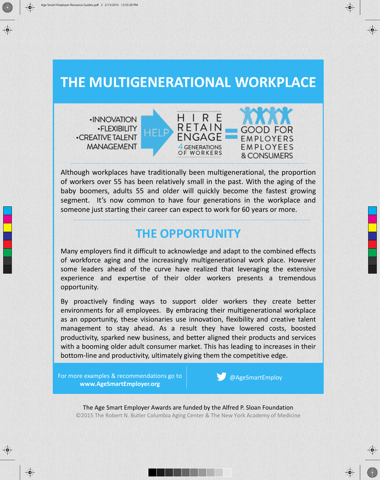#### **THE MULTIGENERATIONAL WORKPLACE**

· INNOVATION **•FLEXIBILITY -CREATIVE TALENT MANAGEMENT** 



Although workplaces have traditionally been multigenerational, the proportion of workers over 55 has been relatively small in the past. With the aging of the baby boomers, adults 55 and older will quickly become the fastest growing segment. It's now common to have four generations in the workplace and someone just starting their career can expect to work for 60 years or more.

#### **THE OPPORTUNITY**

Many employers find it difficult to acknowledge and adapt to the combined effects of workforce aging and the increasingly multigenerational work place. However some leaders ahead of the curve have realized that leveraging the extensive experience and expertise of their older workers presents a tremendous opportunity.

By proactively finding ways to support older workers they create better environments for all employees. By embracing their multigenerational workplace as an opportunity, these visionaries use innovation, flexibility and creative talent management to stay ahead. As a result they have lowered costs, boosted productivity, sparked new business, and better aligned their products and services with a booming older adult consumer market. This has leading to increases in their bottom-line and productivity, ultimately giving them the competitive edge.

For more examples & recommendations go to **www.AgeSmartEmployer.org**

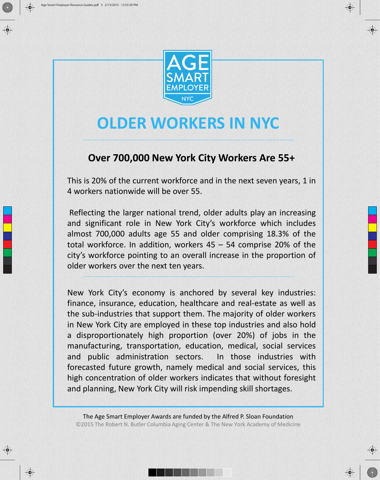



#### **OLDER WORKERS IN NYC**

#### **Over 700,000 New York City Workers Are 55+**

This is 20% of the current workforce and in the next seven years, 1 in 4 workers nationwide will be over 55.

Reflecting the larger national trend, older adults play an increasing and significant role in New York City's workforce which includes almost 700,000 adults age 55 and older comprising 18.3% of the total workforce. In addition, workers 45 – 54 comprise 20% of the city's workforce pointing to an overall increase in the proportion of older workers over the next ten years.

New York City's economy is anchored by several key industries: finance, insurance, education, healthcare and real-estate as well as the sub-industries that support them. The majority of older workers in New York City are employed in these top industries and also hold a disproportionately high proportion (over 20%) of jobs in the manufacturing, transportation, education, medical, social services and public administration sectors. In those industries with forecasted future growth, namely medical and social services, this high concentration of older workers indicates that without foresight and planning, New York City will risk impending skill shortages.

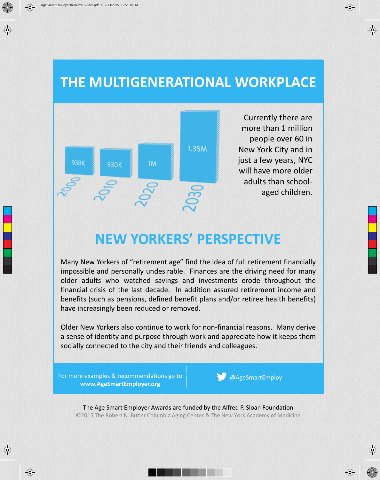#### **THE MULTIGENERATIONAL WORKPLACE**



#### **NEW YORKERS' PERSPECTIVE**

Many New Yorkers of "retirement age" find the idea of full retirement financially impossible and personally undesirable. Finances are the driving need for many older adults who watched savings and investments erode throughout the financial crisis of the last decade. In addition assured retirement income and benefits (such as pensions, defined benefit plans and/or retiree health benefits) have increasingly been reduced or removed.

Older New Yorkers also continue to work for non-financial reasons. Many derive a sense of identity and purpose through work and appreciate how it keeps them socially connected to the city and their friends and colleagues.

For more examples & recommendations go to **www.AgeSmartEmployer.org**

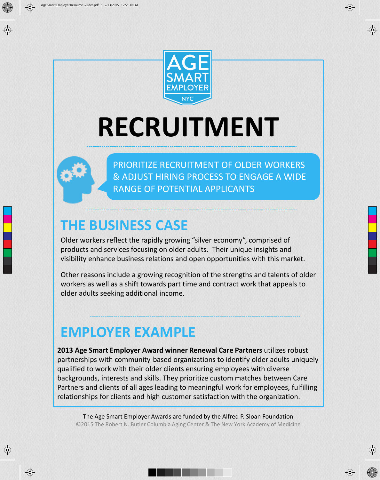



## **RECRUITMENT**



PRIORITIZE RECRUITMENT OF OLDER WORKERS & ADJUST HIRING PROCESS TO ENGAGE A WIDE RANGE OF POTENTIAL APPLICANTS

#### **THE BUSINESS CASE**

Older workers reflect the rapidly growing "silver economy", comprised of products and services focusing on older adults. Their unique insights and visibility enhance business relations and open opportunities with this market.

Other reasons include a growing recognition of the strengths and talents of older workers as well as a shift towards part time and contract work that appeals to older adults seeking additional income.

#### **EMPLOYER EXAMPLE**

**2013 Age Smart Employer Award winner Renewal Care Partners** utilizes robust partnerships with community-based organizations to identify older adults uniquely qualified to work with their older clients ensuring employees with diverse backgrounds, interests and skills. They prioritize custom matches between Care Partners and clients of all ages leading to meaningful work for employees, fulfilling relationships for clients and high customer satisfaction with the organization.

The Age Smart Employer Awards are funded by the Alfred P. Sloan Foundation ©2015 The Robert N. Butler Columbia Aging Center & The New York Academy of Medicine



 $\bigcirc$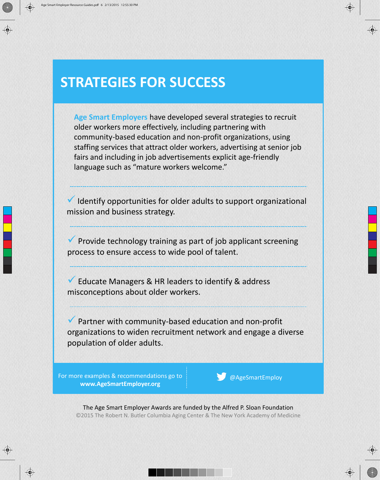**Age Smart Employers** have developed several strategies to recruit older workers more effectively, including partnering with community-based education and non-profit organizations, using staffing services that attract older workers, advertising at senior job fairs and including in job advertisements explicit age-friendly language such as "mature workers welcome."

 $\checkmark$  Identify opportunities for older adults to support organizational mission and business strategy.

 Provide technology training as part of job applicant screening process to ensure access to wide pool of talent.

Educate Managers & HR leaders to identify & address misconceptions about older workers.

 Partner with community-based education and non-profit organizations to widen recruitment network and engage a diverse population of older adults.

For more examples & recommendations go to **www.AgeSmartEmployer.org**

@AgeSmartEmploy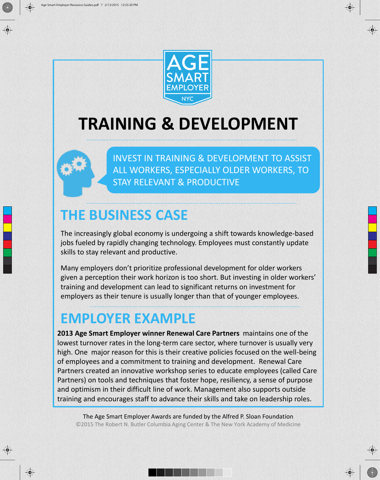



### **TRAINING & DEVELOPMENT**

INVEST IN TRAINING & DEVELOPMENT TO ASSIST ALL WORKERS, ESPECIALLY OLDER WORKERS, TO STAY RELEVANT & PRODUCTIVE

#### **THE BUSINESS CASE**

The increasingly global economy is undergoing a shift towards knowledge-based jobs fueled by rapidly changing technology. Employees must constantly update skills to stay relevant and productive.

Many employers don't prioritize professional development for older workers given a perception their work horizon is too short. But investing in older workers' training and development can lead to significant returns on investment for employers as their tenure is usually longer than that of younger employees.

#### **EMPLOYER EXAMPLE**

 $\bigcirc$ 

**2013 Age Smart Employer winner Renewal Care Partners** maintains one of the lowest turnover rates in the long-term care sector, where turnover is usually very high. One major reason for this is their creative policies focused on the well-being of employees and a commitment to training and development. Renewal Care Partners created an innovative workshop series to educate employees (called Care Partners) on tools and techniques that foster hope, resiliency, a sense of purpose and optimism in their difficult line of work. Management also supports outside training and encourages staff to advance their skills and take on leadership roles.

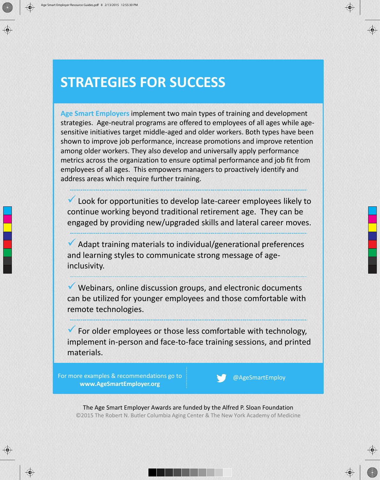**Age Smart Employers** implement two main types of training and development strategies. Age-neutral programs are offered to employees of all ages while agesensitive initiatives target middle-aged and older workers. Both types have been shown to improve job performance, increase promotions and improve retention among older workers. They also develop and universally apply performance metrics across the organization to ensure optimal performance and job fit from employees of all ages. This empowers managers to proactively identify and address areas which require further training.

 Look for opportunities to develop late-career employees likely to continue working beyond traditional retirement age. They can be engaged by providing new/upgraded skills and lateral career moves.

 Adapt training materials to individual/generational preferences and learning styles to communicate strong message of ageinclusivity.

 $\checkmark$  Webinars, online discussion groups, and electronic documents can be utilized for younger employees and those comfortable with remote technologies.

 $\checkmark$  For older employees or those less comfortable with technology, implement in-person and face-to-face training sessions, and printed materials.

For more examples & recommendations go to **www.AgeSmartEmployer.org**

@AgeSmartEmploy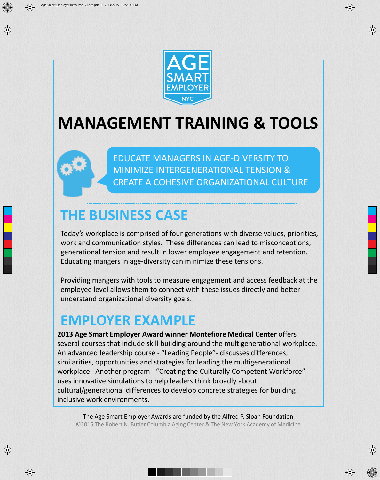



#### **MANAGEMENT TRAINING & TOOLS**

EDUCATE MANAGERS IN AGE-DIVERSITY TO MINIMIZE INTERGENERATIONAL TENSION & CREATE A COHESIVE ORGANIZATIONAL CULTURE

#### **THE BUSINESS CASE**

Today's workplace is comprised of four generations with diverse values, priorities, work and communication styles. These differences can lead to misconceptions, generational tension and result in lower employee engagement and retention. Educating mangers in age-diversity can minimize these tensions.

Providing mangers with tools to measure engagement and access feedback at the employee level allows them to connect with these issues directly and better understand organizational diversity goals.

#### **EMPLOYER EXAMPLE**

 $\bigcirc$ 

**2013 Age Smart Employer Award winner Montefiore Medical Center** offers several courses that include skill building around the multigenerational workplace. An advanced leadership course - "Leading People"- discusses differences, similarities, opportunities and strategies for leading the multigenerational workplace. Another program - "Creating the Culturally Competent Workforce" uses innovative simulations to help leaders think broadly about cultural/generational differences to develop concrete strategies for building inclusive work environments.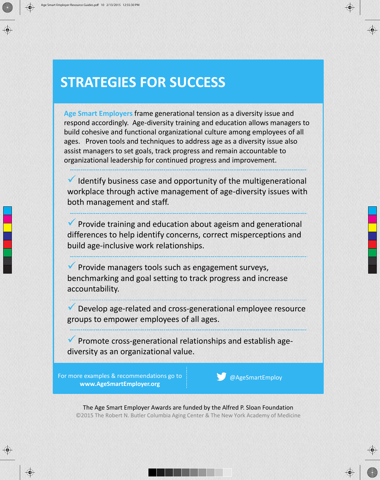**Age Smart Employers** frame generational tension as a diversity issue and respond accordingly. Age-diversity training and education allows managers to build cohesive and functional organizational culture among employees of all ages. Proven tools and techniques to address age as a diversity issue also assist managers to set goals, track progress and remain accountable to organizational leadership for continued progress and improvement.

 Identify business case and opportunity of the multigenerational workplace through active management of age-diversity issues with both management and staff.

 $\vee$  Provide training and education about ageism and generational differences to help identify concerns, correct misperceptions and build age-inclusive work relationships.

 $\vee$  Provide managers tools such as engagement surveys, benchmarking and goal setting to track progress and increase accountability.

 Develop age-related and cross-generational employee resource groups to empower employees of all ages.

 $\vee$  Promote cross-generational relationships and establish agediversity as an organizational value.

For more examples & recommendations go to **www.AgeSmartEmployer.org**

@AgeSmartEmploy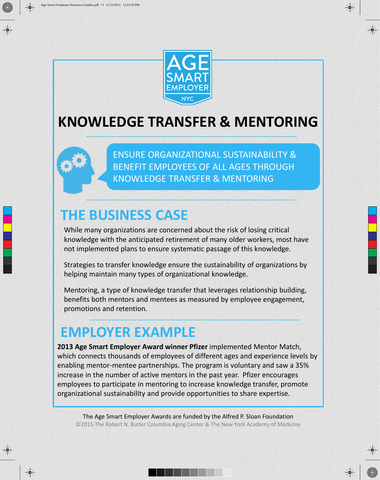

#### **KNOWLEDGE TRANSFER & MENTORING**



#### **THE BUSINESS CASE**

While many organizations are concerned about the risk of losing critical knowledge with the anticipated retirement of many older workers, most have not implemented plans to ensure systematic passage of this knowledge.

Strategies to transfer knowledge ensure the sustainability of organizations by helping maintain many types of organizational knowledge.

Mentoring, a type of knowledge transfer that leverages relationship building, benefits both mentors and mentees as measured by employee engagement, promotions and retention.

#### **EMPLOYER EXAMPLE**

 $\bigoplus$ 

**2013 Age Smart Employer Award winner Pfizer** implemented Mentor Match, which connects thousands of employees of different ages and experience levels by enabling mentor-mentee partnerships. The program is voluntary and saw a 35% increase in the number of active mentors in the past year. Pfizer encourages employees to participate in mentoring to increase knowledge transfer, promote organizational sustainability and provide opportunities to share expertise.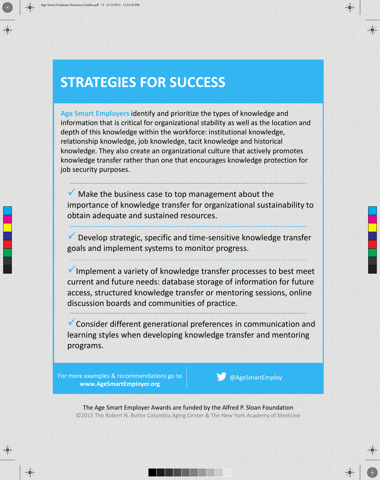**Age Smart Employers** identify and prioritize the types of knowledge and information that is critical for organizational stability as well as the location and depth of this knowledge within the workforce: institutional knowledge, relationship knowledge, job knowledge, tacit knowledge and historical knowledge. They also create an organizational culture that actively promotes knowledge transfer rather than one that encourages knowledge protection for job security purposes.

 $\sqrt{\phantom{a}}$  Make the business case to top management about the importance of knowledge transfer for organizational sustainability to obtain adequate and sustained resources.

Develop strategic, specific and time-sensitive knowledge transfer goals and implement systems to monitor progress.

 $\checkmark$  Implement a variety of knowledge transfer processes to best meet current and future needs: database storage of information for future access, structured knowledge transfer or mentoring sessions, online discussion boards and communities of practice.

Consider different generational preferences in communication and learning styles when developing knowledge transfer and mentoring programs.

For more examples & recommendations go to **www.AgeSmartEmployer.org**

@AgeSmartEmploy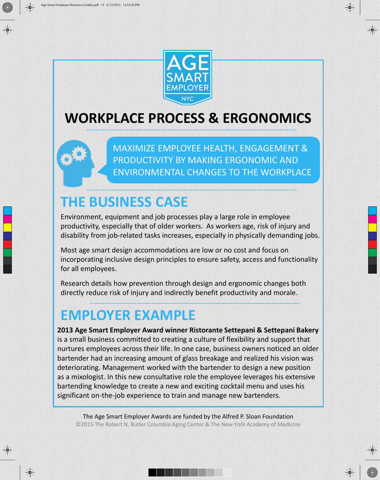

#### **WORKPLACE PROCESS & ERGONOMICS**



#### **THE BUSINESS CASE**

Environment, equipment and job processes play a large role in employee productivity, especially that of older workers. As workers age, risk of injury and disability from job-related tasks increases, especially in physically demanding jobs.

Most age smart design accommodations are low or no cost and focus on incorporating inclusive design principles to ensure safety, access and functionality for all employees.

Research details how prevention through design and ergonomic changes both directly reduce risk of injury and indirectly benefit productivity and morale.

#### **EMPLOYER EXAMPLE**

 $\bigcirc \hspace{-1.25mm}$ 

**2013 Age Smart Employer Award winner Ristorante Settepani & Settepani Bakery** is a small business committed to creating a culture of flexibility and support that nurtures employees across their life. In one case, business owners noticed an older bartender had an increasing amount of glass breakage and realized his vision was deteriorating. Management worked with the bartender to design a new position as a mixologist. In this new consultative role the employee leverages his extensive bartending knowledge to create a new and exciting cocktail menu and uses his significant on-the-job experience to train and manage new bartenders.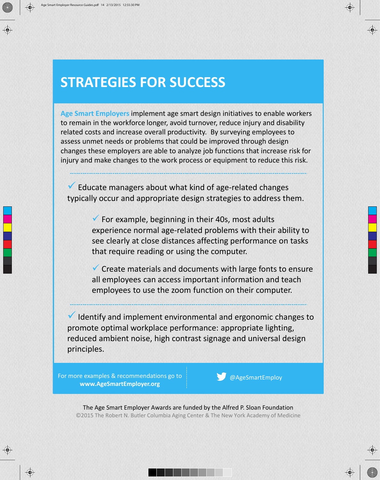**Age Smart Employers** implement age smart design initiatives to enable workers to remain in the workforce longer, avoid turnover, reduce injury and disability related costs and increase overall productivity. By surveying employees to assess unmet needs or problems that could be improved through design changes these employers are able to analyze job functions that increase risk for injury and make changes to the work process or equipment to reduce this risk.

 $\checkmark$  Educate managers about what kind of age-related changes typically occur and appropriate design strategies to address them.

> $\checkmark$  For example, beginning in their 40s, most adults experience normal age-related problems with their ability to see clearly at close distances affecting performance on tasks that require reading or using the computer.

 $\checkmark$  Create materials and documents with large fonts to ensure all employees can access important information and teach employees to use the zoom function on their computer.

 $\checkmark$  Identify and implement environmental and ergonomic changes to promote optimal workplace performance: appropriate lighting, reduced ambient noise, high contrast signage and universal design principles.

For more examples & recommendations go to **www.AgeSmartEmployer.org**

@AgeSmartEmploy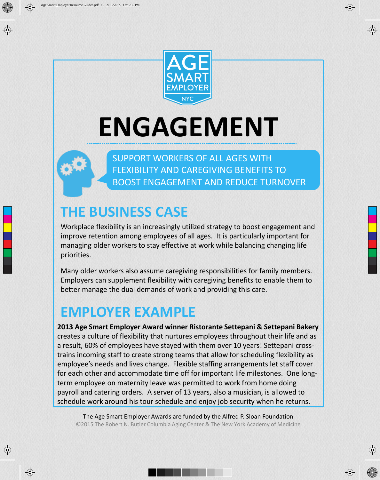



# **ENGAGEMENT**

SUPPORT WORKERS OF ALL AGES WITH FLEXIBILITY AND CAREGIVING BENEFITS TO BOOST ENGAGEMENT AND REDUCE TURNOVER

#### **THE BUSINESS CASE**

Workplace flexibility is an increasingly utilized strategy to boost engagement and improve retention among employees of all ages. It is particularly important for managing older workers to stay effective at work while balancing changing life priorities.

Many older workers also assume caregiving responsibilities for family members. Employers can supplement flexibility with caregiving benefits to enable them to better manage the dual demands of work and providing this care.

#### **EMPLOYER EXAMPLE**

 $\bigcirc$ 

**2013 Age Smart Employer Award winner Ristorante Settepani & Settepani Bakery**  creates a culture of flexibility that nurtures employees throughout their life and as a result, 60% of employees have stayed with them over 10 years! Settepani crosstrains incoming staff to create strong teams that allow for scheduling flexibility as employee's needs and lives change. Flexible staffing arrangements let staff cover for each other and accommodate time off for important life milestones. One longterm employee on maternity leave was permitted to work from home doing payroll and catering orders. A server of 13 years, also a musician, is allowed to schedule work around his tour schedule and enjoy job security when he returns.

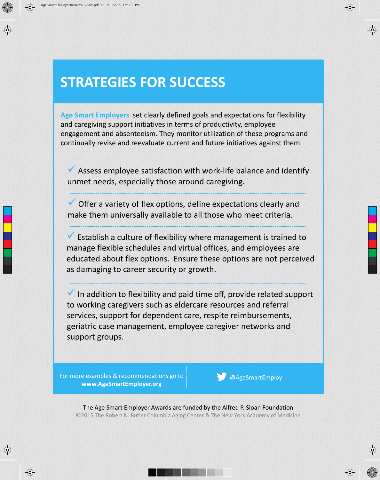**Age Smart Employers** set clearly defined goals and expectations for flexibility and caregiving support initiatives in terms of productivity, employee engagement and absenteeism. They monitor utilization of these programs and continually revise and reevaluate current and future initiatives against them.

 $\overline{v}$  Assess employee satisfaction with work-life balance and identify unmet needs, especially those around caregiving.

 $\checkmark$  Offer a variety of flex options, define expectations clearly and make them universally available to all those who meet criteria.

 Establish a culture of flexibility where management is trained to manage flexible schedules and virtual offices, and employees are educated about flex options. Ensure these options are not perceived as damaging to career security or growth.

 $\blacktriangledown$  In addition to flexibility and paid time off, provide related support to working caregivers such as eldercare resources and referral services, support for dependent care, respite reimbursements, geriatric case management, employee caregiver networks and support groups.

For more examples & recommendations go to **www.AgeSmartEmployer.org**

@AgeSmartEmploy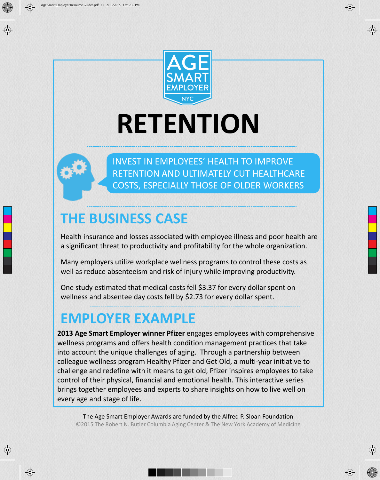



### **RETENTION**



 $\bigcirc$ 

INVEST IN EMPLOYEES' HEALTH TO IMPROVE RETENTION AND ULTIMATELY CUT HEALTHCARE COSTS, ESPECIALLY THOSE OF OLDER WORKERS

#### **THE BUSINESS CASE**

Health insurance and losses associated with employee illness and poor health are a significant threat to productivity and profitability for the whole organization.

Many employers utilize workplace wellness programs to control these costs as well as reduce absenteeism and risk of injury while improving productivity.

One study estimated that medical costs fell \$3.37 for every dollar spent on wellness and absentee day costs fell by \$2.73 for every dollar spent.

#### **EMPLOYER EXAMPLE**

**2013 Age Smart Employer winner Pfizer** engages employees with comprehensive wellness programs and offers health condition management practices that take into account the unique challenges of aging. Through a partnership between colleague wellness program Healthy Pfizer and Get Old, a multi-year initiative to challenge and redefine with it means to get old, Pfizer inspires employees to take control of their physical, financial and emotional health. This interactive series brings together employees and experts to share insights on how to live well on every age and stage of life.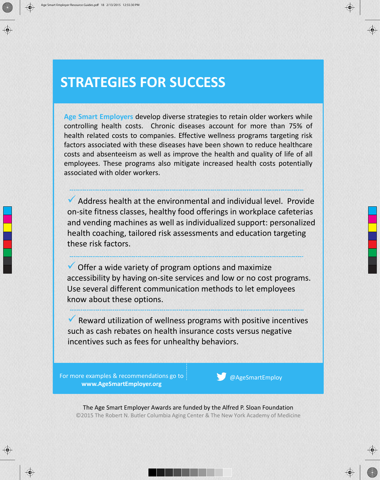**Age Smart Employers** develop diverse strategies to retain older workers while controlling health costs. Chronic diseases account for more than 75% of health related costs to companies. Effective wellness programs targeting risk factors associated with these diseases have been shown to reduce healthcare costs and absenteeism as well as improve the health and quality of life of all employees. These programs also mitigate increased health costs potentially associated with older workers.

 $\blacktriangledown$  Address health at the environmental and individual level. Provide on-site fitness classes, healthy food offerings in workplace cafeterias and vending machines as well as individualized support: personalized health coaching, tailored risk assessments and education targeting these risk factors.

 $\checkmark$  Offer a wide variety of program options and maximize accessibility by having on-site services and low or no cost programs. Use several different communication methods to let employees know about these options.

 $\checkmark$  Reward utilization of wellness programs with positive incentives such as cash rebates on health insurance costs versus negative incentives such as fees for unhealthy behaviors.

For more examples & recommendations go to **www.AgeSmartEmployer.org**

@AgeSmartEmploy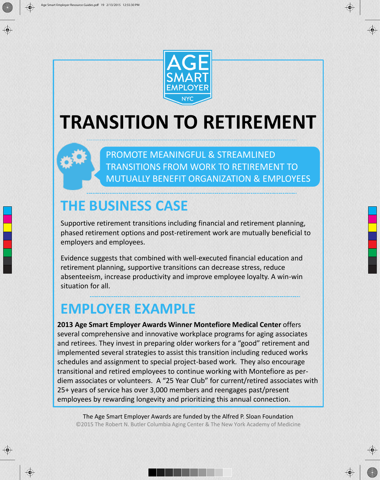

### **TRANSITION TO RETIREMENT**

PROMOTE MEANINGFUL & STREAMLINED TRANSITIONS FROM WORK TO RETIREMENT TO MUTUALLY BENEFIT ORGANIZATION & EMPLOYEES

#### **THE BUSINESS CASE**

Supportive retirement transitions including financial and retirement planning, phased retirement options and post-retirement work are mutually beneficial to employers and employees.

Evidence suggests that combined with well-executed financial education and retirement planning, supportive transitions can decrease stress, reduce absenteeism, increase productivity and improve employee loyalty. A win-win situation for all.

#### **EMPLOYER EXAMPLE**

 $\bigcirc$ 

**2013 Age Smart Employer Awards Winner Montefiore Medical Center** offers several comprehensive and innovative workplace programs for aging associates and retirees. They invest in preparing older workers for a "good" retirement and implemented several strategies to assist this transition including reduced works schedules and assignment to special project-based work. They also encourage transitional and retired employees to continue working with Montefiore as perdiem associates or volunteers. A "25 Year Club" for current/retired associates with 25+ years of service has over 3,000 members and reengages past/present employees by rewarding longevity and prioritizing this annual connection.